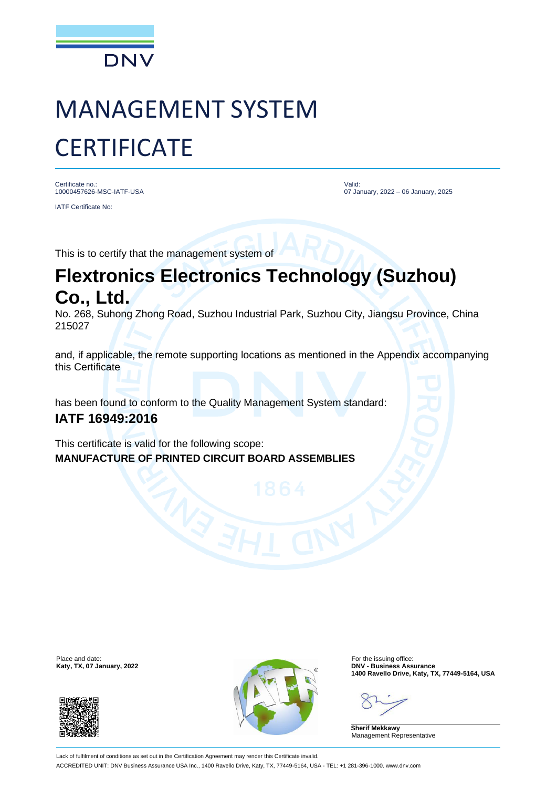

## MANAGEMENT SYSTEM **CERTIFICATE**

Certificate no.: 10000457626-MSC-IATF-USA IATF Certificate No:

Valid: 07 January, 2022 – 06 January, 2025

This is to certify that the management system of

## **Flextronics Electronics Technology (Suzhou) Co., Ltd.**

No. 268, Suhong Zhong Road, Suzhou Industrial Park, Suzhou City, Jiangsu Province, China 215027

and, if applicable, the remote supporting locations as mentioned in the Appendix accompanying this Certificate

has been found to conform to the Quality Management System standard: **IATF 16949:2016**

This certificate is valid for the following scope: **MANUFACTURE OF PRINTED CIRCUIT BOARD ASSEMBLIES**





**1400 Ravello Drive, Katy, TX, 77449-5164, USA**

**Sherif Mekkawy** Management Representative

Lack of fulfilment of conditions as set out in the Certification Agreement may render this Certificate invalid. ACCREDITED UNIT: DNV Business Assurance USA Inc., 1400 Ravello Drive, Katy, TX, 77449-5164, USA - TEL: +1 281-396-1000. www.dnv.com